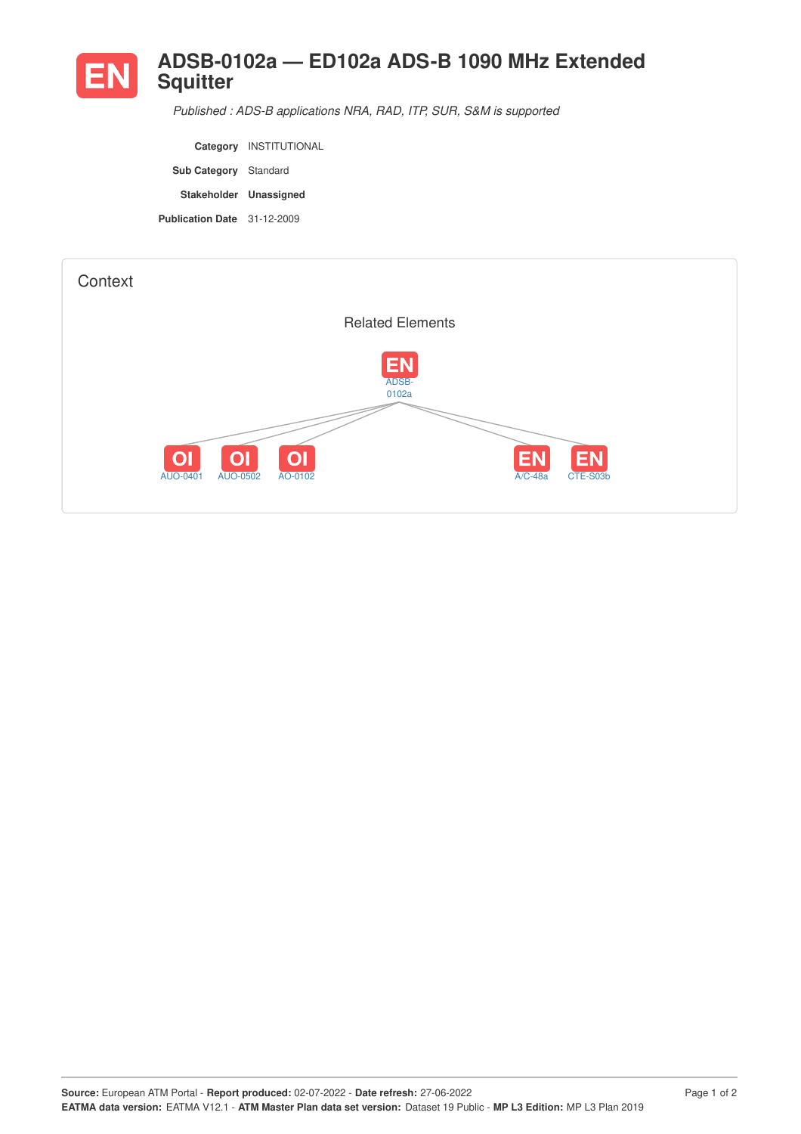

*Published : ADS-B applications NRA, RAD, ITP, SUR, S&M is supported*

**Category** INSTITUTIONAL **Sub Category** Standard **Stakeholder Unassigned Publication Date** 31-12-2009